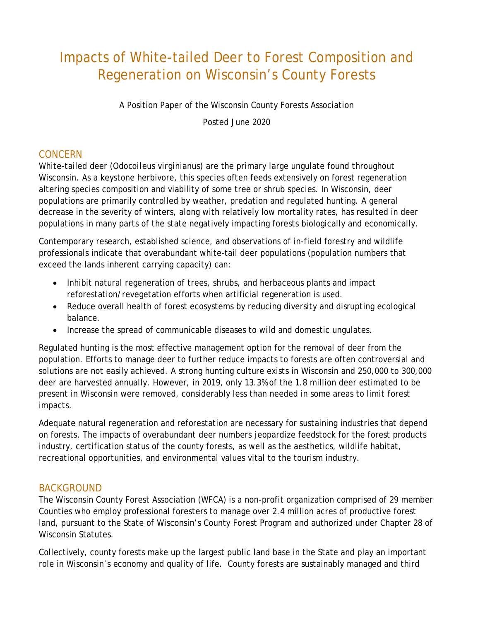# Impacts of White-tailed Deer to Forest Composition and Regeneration on Wisconsin's County Forests

A Position Paper of the Wisconsin County Forests Association

Posted June 2020

## **CONCERN**

White-tailed deer (*Odocoileus virginianus*) are the primary large ungulate found throughout Wisconsin. As a keystone herbivore, this species often feeds extensively on forest regeneration altering species composition and viability of some tree or shrub species. In Wisconsin, deer populations are primarily controlled by weather, predation and regulated hunting. A general decrease in the severity of winters, along with relatively low mortality rates, has resulted in deer populations in many parts of the state negatively impacting forests biologically and economically.

Contemporary research, established science, and observations of in-field forestry and wildlife professionals indicate that overabundant white-tail deer populations (population numbers that exceed the lands inherent carrying capacity) can:

- Inhibit natural regeneration of trees, shrubs, and herbaceous plants and impact reforestation/revegetation efforts when artificial regeneration is used.
- Reduce overall health of forest ecosystems by reducing diversity and disrupting ecological balance.
- Increase the spread of communicable diseases to wild and domestic ungulates.

Regulated hunting is the most effective management option for the removal of deer from the population. Efforts to manage deer to further reduce impacts to forests are often controversial and solutions are not easily achieved. A strong hunting culture exists in Wisconsin and 250,000 to 300,000 deer are harvested annually. However, in 2019, only 13.3% of the 1.8 million deer estimated to be present in Wisconsin were removed, considerably less than needed in some areas to limit forest impacts.

Adequate natural regeneration and reforestation are necessary for sustaining industries that depend on forests. The impacts of overabundant deer numbers jeopardize feedstock for the forest products industry, certification status of the county forests, as well as the aesthetics, wildlife habitat, recreational opportunities, and environmental values vital to the tourism industry.

## BACKGROUND

The Wisconsin County Forest Association (WFCA) is a non-profit organization comprised of 29 member Counties who employ professional foresters to manage over 2.4 million acres of productive forest land, pursuant to the State of Wisconsin's County Forest Program and authorized under Chapter 28 of Wisconsin Statutes.

Collectively, county forests make up the largest public land base in the State and play an important role in Wisconsin's economy and quality of life. County forests are sustainably managed and third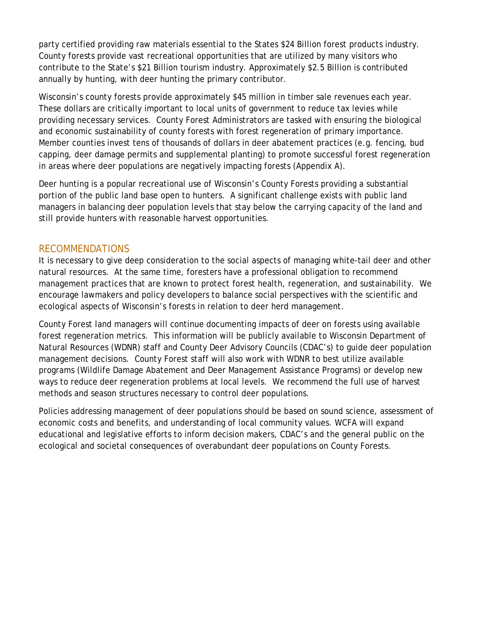party certified providing raw materials essential to the States \$24 Billion forest products industry. County forests provide vast recreational opportunities that are utilized by many visitors who contribute to the State's \$21 Billion tourism industry. Approximately \$2.5 Billion is contributed annually by hunting, with deer hunting the primary contributor.

Wisconsin's county forests provide approximately \$45 million in timber sale revenues each year. These dollars are critically important to local units of government to reduce tax levies while providing necessary services. County Forest Administrators are tasked with ensuring the biological and economic sustainability of county forests with forest regeneration of primary importance. Member counties invest tens of thousands of dollars in deer abatement practices (e.g. fencing, bud capping, deer damage permits and supplemental planting) to promote successful forest regeneration in areas where deer populations are negatively impacting forests (Appendix A).

Deer hunting is a popular recreational use of Wisconsin's County Forests providing a substantial portion of the public land base open to hunters. A significant challenge exists with public land managers in balancing deer population levels that stay below the carrying capacity of the land and still provide hunters with reasonable harvest opportunities.

### RECOMMENDATIONS

It is necessary to give deep consideration to the social aspects of managing white-tail deer and other natural resources. At the same time, foresters have a professional obligation to recommend management practices that are known to protect forest health, regeneration, and sustainability. We encourage lawmakers and policy developers to balance social perspectives with the scientific and ecological aspects of Wisconsin's forests in relation to deer herd management.

County Forest land managers will continue documenting impacts of deer on forests using available forest regeneration metrics. This information will be publicly available to Wisconsin Department of Natural Resources (WDNR) staff and County Deer Advisory Councils (CDAC's) to guide deer population management decisions. County Forest staff will also work with WDNR to best utilize available programs (Wildlife Damage Abatement and Deer Management Assistance Programs) or develop new ways to reduce deer regeneration problems at local levels. We recommend the full use of harvest methods and season structures necessary to control deer populations.

Policies addressing management of deer populations should be based on sound science, assessment of economic costs and benefits, and understanding of local community values. WCFA will expand educational and legislative efforts to inform decision makers, CDAC's and the general public on the ecological and societal consequences of overabundant deer populations on County Forests.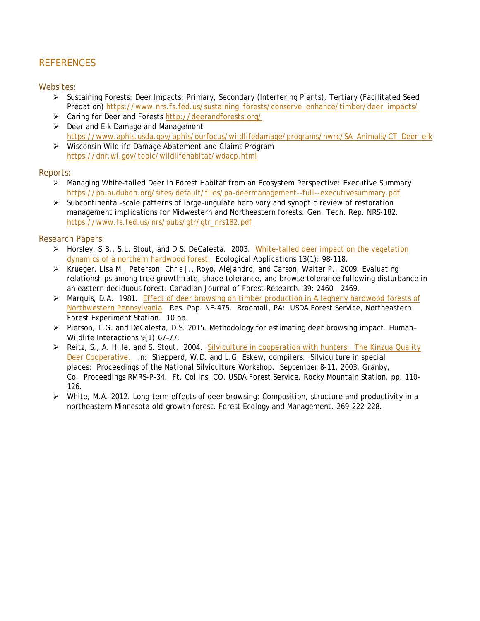## **REFERENCES**

#### Websites:

- $\triangleright$  Sustaining Forests: Deer Impacts: Primary, Secondary (Interfering Plants), Tertiary (Facilitated Seed Predation) [https://www.nrs.fs.fed.us/sustaining\\_forests/conserve\\_enhance/timber/deer\\_impacts/](https://www.nrs.fs.fed.us/sustaining_forests/conserve_enhance/timber/deer_impacts/)
- Caring for Deer and Forests <http://deerandforests.org/>
- $\triangleright$  Deer and Elk Damage and Management [https://www.aphis.usda.gov/aphis/ourfocus/wildlifedamage/programs/nwrc/SA\\_Animals/CT\\_Deer\\_elk](https://www.aphis.usda.gov/aphis/ourfocus/wildlifedamage/programs/nwrc/SA_Animals/CT_Deer_elk)
- Wisconsin Wildlife Damage Abatement and Claims Program <https://dnr.wi.gov/topic/wildlifehabitat/wdacp.html>

#### Reports:

- Managing White-tailed Deer in Forest Habitat from an Ecosystem Perspective: Executive Summary <https://pa.audubon.org/sites/default/files/pa-deermanagement--full--executivesummary.pdf>
- $\triangleright$  Subcontinental-scale patterns of large-ungulate herbivory and synoptic review of restoration management implications for Midwestern and Northeastern forests. Gen. Tech. Rep. NRS-182. [https://www.fs.fed.us/nrs/pubs/gtr/gtr\\_nrs182.pdf](https://www.fs.fed.us/nrs/pubs/gtr/gtr_nrs182.pdf)

#### Research Papers:

- ▶ Horsley, S.B., S.L. Stout, and D.S. DeCalesta. 2003. White-tailed deer impact on the vegetation [dynamics of a northern hardwood forest.](https://www.nrs.fs.fed.us/pubs/7748) Ecological Applications 13(1): 98-118.
- $\triangleright$  Krueger, Lisa M., Peterson, Chris J., Royo, Alejandro, and Carson, Walter P., 2009. Evaluating relationships among tree growth rate, shade tolerance, and browse tolerance following disturbance in an eastern deciduous forest. Canadian Journal of Forest Research. 39: 2460 - 2469.
- > Marquis, D.A. 1981. Effect of deer browsing on timber production in Allegheny hardwood forests of [Northwestern Pennsylvania.](https://www.nrs.fs.fed.us/pubs/5023) Res. Pap. NE-475. Broomall, PA: USDA Forest Service, Northeastern Forest Experiment Station. 10 pp.
- Pierson, T.G. and DeCalesta, D.S. 2015. Methodology for estimating deer browsing impact. Human– Wildlife Interactions 9(1):67–77.
- Reitz, S., A. Hille, and S. Stout. 2004. [Silviculture in cooperation with hunters:](http://treesearch.fs.fed.us/pubs/7218) The Kinzua Quality [Deer Cooperative.](http://treesearch.fs.fed.us/pubs/7218) In: Shepperd, W.D. and L.G. Eskew, compilers. Silviculture in special places: Proceedings of the National Silviculture Workshop. September 8-11, 2003, Granby, Co. Proceedings RMRS-P-34. Ft. Collins, CO, USDA Forest Service, Rocky Mountain Station, pp. 110- 126.
- White, M.A. 2012. Long-term effects of deer browsing: Composition, structure and productivity in a northeastern Minnesota old-growth forest. Forest Ecology and Management. 269:222-228.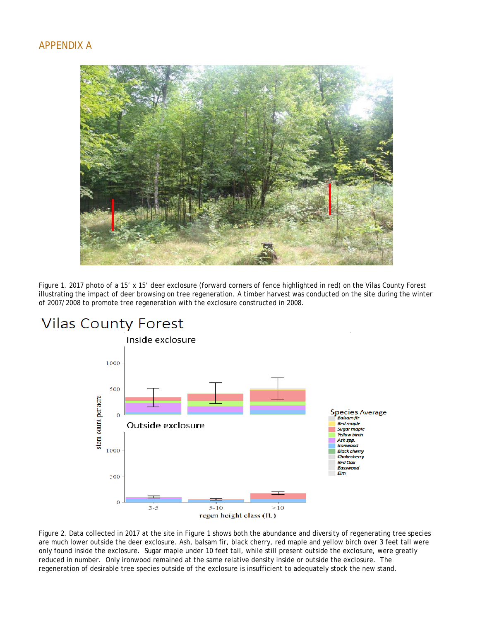### APPENDIX A



Figure 1. 2017 photo of a 15' x 15' deer exclosure (forward corners of fence highlighted in red) on the Vilas County Forest illustrating the impact of deer browsing on tree regeneration. A timber harvest was conducted on the site during the winter of 2007/2008 to promote tree regeneration with the exclosure constructed in 2008.



# **Vilas County Forest**

Figure 2. Data collected in 2017 at the site in Figure 1 shows both the abundance and diversity of regenerating tree species are much lower outside the deer exclosure. Ash, balsam fir, black cherry, red maple and yellow birch over 3 feet tall were only found inside the exclosure. Sugar maple under 10 feet tall, while still present outside the exclosure, were greatly reduced in number. Only ironwood remained at the same relative density inside or outside the exclosure. The regeneration of desirable tree species outside of the exclosure is insufficient to adequately stock the new stand.